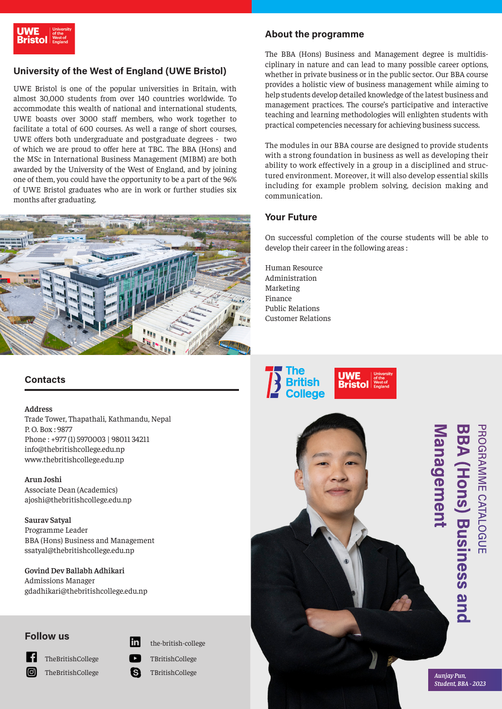# **University of the West of England (UWE Bristol)**

UWE Bristol is one of the popular universities in Britain, with almost 30,000 students from over 140 countries worldwide. To accommodate this wealth of national and international students, UWE boasts over 3000 staff members, who work together to facilitate a total of 600 courses. As well a range of short courses, UWE offers both undergraduate and postgraduate degrees - two of which we are proud to offer here at TBC. The BBA (Hons) and the MSc in International Business Management (MIBM) are both awarded by the University of the West of England, and by joining one of them, you could have the opportunity to be a part of the 96% of UWE Bristol graduates who are in work or further studies six months after graduating.



# **Contacts**

#### **Address**

Trade Tower, Thapathali, Kathmandu, Nepal P. O. Box : 9877 Phone : +977 (1) 5970003 | 98011 34211 info@thebritishcollege.edu.np www.thebritishcollege.edu.np

**Arun Joshi** Associate Dean (Academics) ajoshi@thebritishcollege.edu.np

**Saurav Satyal** Programme Leader BBA (Hons) Business and Management ssatyal@thebritishcollege.edu.np

**Govind Dev Ballabh Adhikari** Admissions Manager gdadhikari@thebritishcollege.edu.np

### **Follow us**



TheBritishCollege

TheBritishCollege

- lin the-british-college
- TBritishCollege ß TBritishCollege

## **About the programme**

The BBA (Hons) Business and Management degree is multidisciplinary in nature and can lead to many possible career options, whether in private business or in the public sector. Our BBA course provides a holistic view of business management while aiming to help students develop detailed knowledge of the latest business and management practices. The course's participative and interactive teaching and learning methodologies will enlighten students with practical competencies necessary for achieving business success.

The modules in our BBA course are designed to provide students with a strong foundation in business as well as developing their ability to work effectively in a group in a disciplined and structured environment. Moreover, it will also develop essential skills including for example problem solving, decision making and communication.

## **Your Future**

On successful completion of the course students will be able to develop their career in the following areas :

Human Resource Administration Marketing Finance Public Relations Customer Relations